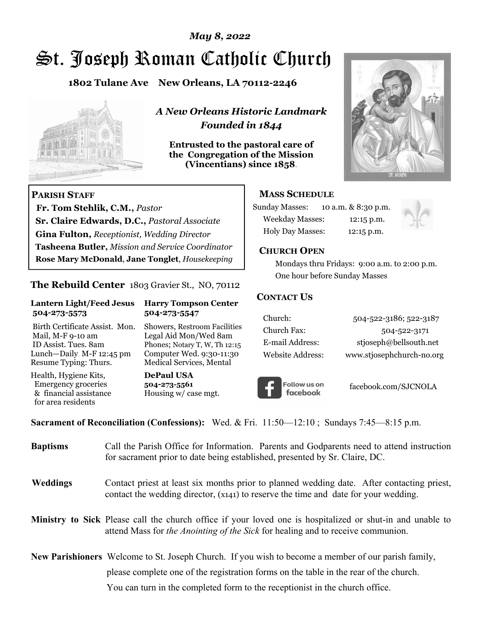## *May 8, 2022*

# St. Joseph Roman Catholic Church

**1802 Tulane Ave New Orleans, LA 70112-2246**



 **Fr. Tom Stehlik, C.M.,** *Pastor* 

**Sr. Claire Edwards, D.C.,** *Pastoral Associate* **Gina Fulton,** *Receptionist, Wedding Director* 

**Tasheena Butler,** *Mission and Service Coordinator* **Rose Mary McDonald**, **Jane Tonglet**, *Housekeeping*

**The Rebuild Center** 1803 Gravier St., NO, 70112

**Lantern Light/Feed Jesus Harry Tompson Center** 

Birth Certificate Assist. Mon. Showers, Restroom Facilities Mail, M-F 9-10 am Legal Aid Mon/Wed 8am ID Assist. Tues. 8am Phones; Notary T, W, Th 12:15 Lunch—Daily M-F 12:45 pm Computer Wed. 9:30-11:30 Resume Typing: Thurs. Medical Services, Mental

 **504-273-5573 504-273-5547** 

Health, Hygiene Kits, **DePaul USA**  Emergency groceries **504-273-5561**

& financial assistance Housing w/ case mgt.

**PARISH STAFF**

for area residents

*A New Orleans Historic Landmark Founded in 1844* 

**Entrusted to the pastoral care of the Congregation of the Mission (Vincentians) since 1858**.



### **MASS SCHEDULE**

| <b>Sunday Masses:</b>  | 10 a.m. & 8:30 p.m. |
|------------------------|---------------------|
| <b>Weekday Masses:</b> | $12:15$ p.m.        |
| Holy Day Masses:       | 12:15 p.m.          |



#### **CHURCH OPEN**

 Mondays thru Fridays: 9:00 a.m. to 2:00 p.m. One hour before Sunday Masses

#### **CONTACT US**

| Church:          | 504-522-3186; 522-3187    |
|------------------|---------------------------|
| Church Fax:      | 504-522-3171              |
| E-mail Address:  | stjoseph@bellsouth.net    |
| Website Address: | www.stjosephchurch-no.org |



facebook.com/SJCNOLA

**Sacrament of Reconciliation (Confessions):** Wed. & Fri. 11:50—12:10 ; Sundays 7:45—8:15 p.m.

| <b>Baptisms</b> | Call the Parish Office for Information. Parents and Godparents need to attend instruction<br>for sacrament prior to date being established, presented by Sr. Claire, DC.                                   |
|-----------------|------------------------------------------------------------------------------------------------------------------------------------------------------------------------------------------------------------|
| <b>Weddings</b> | Contact priest at least six months prior to planned wedding date. After contacting priest,<br>contact the wedding director, (x141) to reserve the time and date for your wedding.                          |
|                 | <b>Ministry to Sick</b> Please call the church office if your loved one is hospitalized or shut-in and unable to<br>attend Mass for <i>the Anointing of the Sick</i> for healing and to receive communion. |
|                 | <b>New Parishioners</b> Welcome to St. Joseph Church. If you wish to become a member of our parish family,                                                                                                 |
|                 | please complete one of the registration forms on the table in the rear of the church.                                                                                                                      |
|                 | You can turn in the completed form to the reception is the church office.                                                                                                                                  |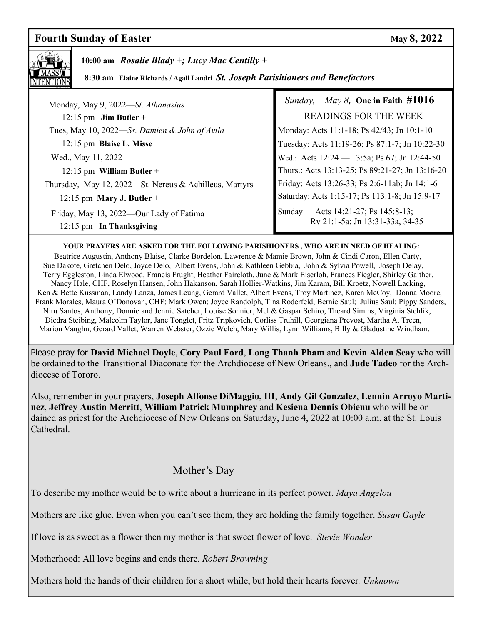# **Fourth Sunday of Easter May 8, 2022**



 **10:00 am** *Rosalie Blady +; Lucy Mac Centilly +*

 **8:30 am Elaine Richards / Agali Landri** *St. Joseph Parishioners and Benefactors* 

| Monday, May 9, 2022-St. Athanasius                                  | <i>Sunday, May 8, One in Faith <math>\#1016</math></i>                   |
|---------------------------------------------------------------------|--------------------------------------------------------------------------|
| $12:15$ pm Jim Butler +                                             | <b>READINGS FOR THE WEEK</b>                                             |
| Tues, May 10, 2022-Ss. Damien & John of Avila                       | Monday: Acts 11:1-18; Ps 42/43; Jn 10:1-10                               |
| 12:15 pm Blaise L. Misse                                            | Tuesday: Acts 11:19-26; Ps 87:1-7; Jn 10:22-30                           |
| Wed., May 11, 2022—                                                 | Wed.: Acts 12:24 - 13:5a; Ps 67; Jn 12:44-50                             |
| 12:15 pm William Butler +                                           | Thurs.: Acts 13:13-25; Ps 89:21-27; Jn 13:16-20                          |
| Thursday, May 12, 2022-St. Nereus & Achilleus, Martyrs              | Friday: Acts 13:26-33; Ps 2:6-11ab; Jn 14:1-6                            |
| 12:15 pm Mary J. Butler +                                           | Saturday: Acts 1:15-17; Ps 113:1-8; Jn 15:9-17                           |
| Friday, May 13, 2022—Our Lady of Fatima<br>12:15 pm In Thanksgiving | Acts 14:21-27; Ps 145:8-13;<br>Sunday<br>Rv 21:1-5a; Jn 13:31-33a, 34-35 |

#### **YOUR PRAYERS ARE ASKED FOR THE FOLLOWING PARISHIONERS , WHO ARE IN NEED OF HEALING:**

 Beatrice Augustin, Anthony Blaise, Clarke Bordelon, Lawrence & Mamie Brown, John & Cindi Caron, Ellen Carty, Sue Dakote, Gretchen Delo, Joyce Delo, Albert Evens, John & Kathleen Gebbia, John & Sylvia Powell, Joseph Delay, Terry Eggleston, Linda Elwood, Francis Frught, Heather Faircloth, June & Mark Eiserloh, Frances Fiegler, Shirley Gaither, Nancy Hale, CHF, Roselyn Hansen, John Hakanson, Sarah Hollier-Watkins, Jim Karam, Bill Kroetz, Nowell Lacking, Ken & Bette Kussman, Landy Lanza, James Leung, Gerard Vallet, Albert Evens, Troy Martinez, Karen McCoy, Donna Moore, Frank Morales, Maura O'Donovan, CHF; Mark Owen; Joyce Randolph, Tina Roderfeld, Bernie Saul; Julius Saul; Pippy Sanders, Niru Santos, Anthony, Donnie and Jennie Satcher, Louise Sonnier, Mel & Gaspar Schiro; Theard Simms, Virginia Stehlik, Diedra Steibing, Malcolm Taylor, Jane Tonglet, Fritz Tripkovich, Corliss Truhill, Georgiana Prevost, Martha A. Treen, Marion Vaughn, Gerard Vallet, Warren Webster, Ozzie Welch, Mary Willis, Lynn Williams, Billy & Gladustine Windham.

Please pray for **David Michael Doyle**, **Cory Paul Ford**, **Long Thanh Pham** and **Kevin Alden Seay** who will be ordained to the Transitional Diaconate for the Archdiocese of New Orleans., and **Jude Tadeo** for the Archdiocese of Tororo.

Also, remember in your prayers, **Joseph Alfonse DiMaggio, III**, **Andy Gil Gonzalez**, **Lennin Arroyo Martinez**, **Jeffrey Austin Merritt**, **William Patrick Mumphrey** and **Kesiena Dennis Obienu** who will be ordained as priest for the Archdiocese of New Orleans on Saturday, June 4, 2022 at 10:00 a.m. at the St. Louis Cathedral.

## Mother's Day

To describe my mother would be to write about a hurricane in its perfect power. *Maya Angelou*

Mothers are like glue. Even when you can't see them, they are holding the family together. *Susan Gayle* 

If love is as sweet as a flower then my mother is that sweet flower of love. *Stevie Wonder* 

Motherhood: All love begins and ends there. *Robert Browning* 

Mothers hold the hands of their children for a short while, but hold their hearts forever*. Unknown*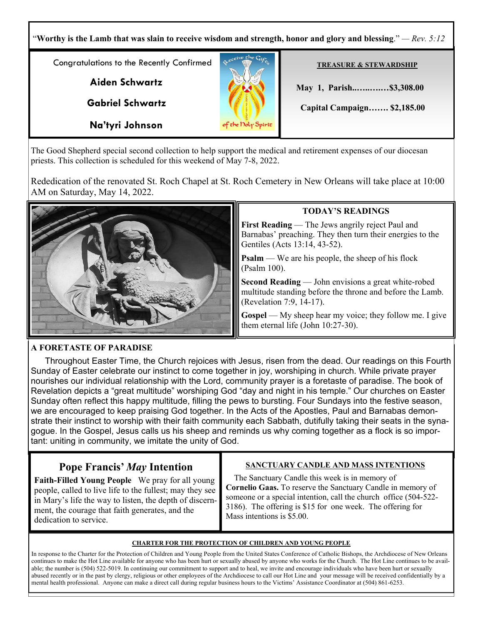"**Worthy is the Lamb that was slain to receive wisdom and strength, honor and glory and blessing**." *— Rev. 5:12* Congratulations to the Recently Confirmed **TREASURE & STEWARDSHIP Aiden Schwartz May 1, Parish..…..….…\$3,308.00 Gabriel Schwartz Capital Campaign……. \$2,185.00 Na'tyri Johnson** the Doly Spirit

The Good Shepherd special second collection to help support the medical and retirement expenses of our diocesan priests. This collection is scheduled for this weekend of May 7-8, 2022.

Rededication of the renovated St. Roch Chapel at St. Roch Cemetery in New Orleans will take place at 10:00 AM on Saturday, May 14, 2022.



## **TODAY'S READINGS**

**First Reading** — The Jews angrily reject Paul and Barnabas' preaching. They then turn their energies to the Gentiles (Acts 13:14, 43-52).

**Psalm** — We are his people, the sheep of his flock (Psalm 100).

**Second Reading** — John envisions a great white-robed multitude standing before the throne and before the Lamb. (Revelation 7:9, 14-17).

**Gospel** — My sheep hear my voice; they follow me. I give them eternal life (John 10:27-30).

## **A FORETASTE OF PARADISE**

Throughout Easter Time, the Church rejoices with Jesus, risen from the dead. Our readings on this Fourth Sunday of Easter celebrate our instinct to come together in joy, worshiping in church. While private prayer nourishes our individual relationship with the Lord, community prayer is a foretaste of paradise. The book of Revelation depicts a "great multitude" worshiping God "day and night in his temple." Our churches on Easter Sunday often reflect this happy multitude, filling the pews to bursting. Four Sundays into the festive season, we are encouraged to keep praising God together. In the Acts of the Apostles, Paul and Barnabas demonstrate their instinct to worship with their faith community each Sabbath, dutifully taking their seats in the synagogue. In the Gospel, Jesus calls us his sheep and reminds us why coming together as a flock is so important: uniting in community, we imitate the unity of God.

# **Pope Francis'** *May* **Intention**

**Faith-Filled Young People** We pray for all young people, called to live life to the fullest; may they see in Mary's life the way to listen, the depth of discernment, the courage that faith generates, and the dedication to service.

#### **SANCTUARY CANDLE AND MASS INTENTIONS**

 The Sanctuary Candle this week is in memory of **Cornelio Gaas.** To reserve the Sanctuary Candle in memory of someone or a special intention, call the church office (504-522- 3186). The offering is \$15 for one week. The offering for Mass intentions is \$5.00.

#### **CHARTER FOR THE PROTECTION OF CHILDREN AND YOUNG PEOPLE**

In response to the Charter for the Protection of Children and Young People from the United States Conference of Catholic Bishops, the Archdiocese of New Orleans continues to make the Hot Line available for anyone who has been hurt or sexually abused by anyone who works for the Church. The Hot Line continues to be available; the number is (504) 522-5019. In continuing our commitment to support and to heal, we invite and encourage individuals who have been hurt or sexually abused recently or in the past by clergy, religious or other employees of the Archdiocese to call our Hot Line and your message will be received confidentially by a mental health professional. Anyone can make a direct call during regular business hours to the Victims' Assistance Coordinator at (504) 861-6253.